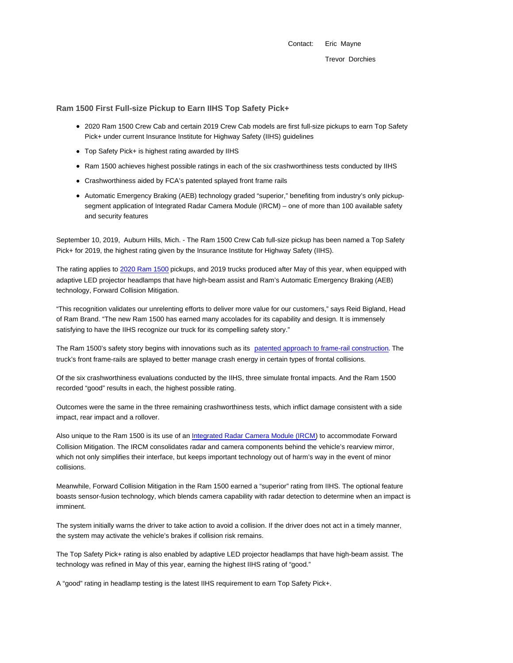Contact: Eric Mayne Trevor Dorchies

**Ram 1500 First Full-size Pickup to Earn IIHS Top Safety Pick+**

- 2020 Ram 1500 Crew Cab and certain 2019 Crew Cab models are first full-size pickups to earn Top Safety Pick+ under current Insurance Institute for Highway Safety (IIHS) guidelines
- Top Safety Pick+ is highest rating awarded by IIHS
- Ram 1500 achieves highest possible ratings in each of the six crashworthiness tests conducted by IIHS
- Crashworthiness aided by FCA's patented splayed front frame rails
- Automatic Emergency Braking (AEB) technology graded "superior," benefiting from industry's only pickupsegment application of Integrated Radar Camera Module (IRCM) – one of more than 100 available safety and security features

September 10, 2019, Auburn Hills, Mich. - The Ram 1500 Crew Cab full-size pickup has been named a Top Safety Pick+ for 2019, the highest rating given by the Insurance Institute for Highway Safety (IIHS).

The rating applies to 2020 Ram 1500 pickups, and 2019 trucks produced after May of this year, when equipped with adaptive LED projector headlamps that have high-beam assist and Ram's Automatic Emergency Braking (AEB) technology, Forward Collision Mitigation.

"This recognition validates our unrelenting efforts to deliver more value for our customers," says Reid Bigland, Head of Ram Brand. "The new Ram 1500 has earned many accolades for its capability and design. It is immensely satisfying to have the IIHS recognize our truck for its compelling safety story."

The Ram 1500's safety story begins with innovations such as its patented approach to frame-rail construction. The truck's front frame-rails are splayed to better manage crash energy in certain types of frontal collisions.

Of the six crashworthiness evaluations conducted by the IIHS, three simulate frontal impacts. And the Ram 1500 recorded "good" results in each, the highest possible rating.

Outcomes were the same in the three remaining crashworthiness tests, which inflict damage consistent with a side impact, rear impact and a rollover.

Also unique to the Ram 1500 is its use of an Integrated Radar Camera Module (IRCM) to accommodate Forward Collision Mitigation. The IRCM consolidates radar and camera components behind the vehicle's rearview mirror, which not only simplifies their interface, but keeps important technology out of harm's way in the event of minor collisions.

Meanwhile, Forward Collision Mitigation in the Ram 1500 earned a "superior" rating from IIHS. The optional feature boasts sensor-fusion technology, which blends camera capability with radar detection to determine when an impact is imminent.

The system initially warns the driver to take action to avoid a collision. If the driver does not act in a timely manner, the system may activate the vehicle's brakes if collision risk remains.

The Top Safety Pick+ rating is also enabled by adaptive LED projector headlamps that have high-beam assist. The technology was refined in May of this year, earning the highest IIHS rating of "good."

A "good" rating in headlamp testing is the latest IIHS requirement to earn Top Safety Pick+.